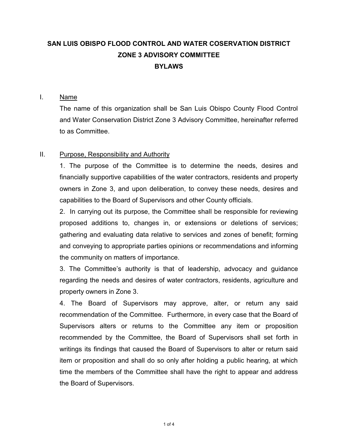# **SAN LUIS OBISPO FLOOD CONTROL AND WATER COSERVATION DISTRICT ZONE 3 ADVISORY COMMITTEE BYLAWS**

#### I. Name

The name of this organization shall be San Luis Obispo County Flood Control and Water Conservation District Zone 3 Advisory Committee, hereinafter referred to as Committee.

## II. Purpose, Responsibility and Authority

1. The purpose of the Committee is to determine the needs, desires and financially supportive capabilities of the water contractors, residents and property owners in Zone 3, and upon deliberation, to convey these needs, desires and capabilities to the Board of Supervisors and other County officials.

2. In carrying out its purpose, the Committee shall be responsible for reviewing proposed additions to, changes in, or extensions or deletions of services; gathering and evaluating data relative to services and zones of benefit; forming and conveying to appropriate parties opinions or recommendations and informing the community on matters of importance.

3. The Committee's authority is that of leadership, advocacy and guidance regarding the needs and desires of water contractors, residents, agriculture and property owners in Zone 3.

4. The Board of Supervisors may approve, alter, or return any said recommendation of the Committee. Furthermore, in every case that the Board of Supervisors alters or returns to the Committee any item or proposition recommended by the Committee, the Board of Supervisors shall set forth in writings its findings that caused the Board of Supervisors to alter or return said item or proposition and shall do so only after holding a public hearing, at which time the members of the Committee shall have the right to appear and address the Board of Supervisors.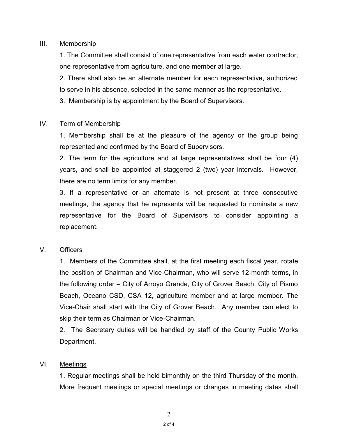#### III. Membership

1. The Committee shall consist of one representative from each water contractor; one representative from agriculture, and one member at large.

 2. There shall also be an alternate member for each representative, authorized to serve in his absence, selected in the same manner as the representative.

3. Membership is by appointment by the Board of Supervisors.

## IV. Term of Membership

1. Membership shall be at the pleasure of the agency or the group being represented and confirmed by the Board of Supervisors.

2. The term for the agriculture and at large representatives shall be four (4) years, and shall be appointed at staggered 2 (two) year intervals. However, there are no term limits for any member.

 3. If a representative or an alternate is not present at three consecutive meetings, the agency that he represents will be requested to nominate a new representative for the Board of Supervisors to consider appointing a replacement.

## V. Officers

1. Members of the Committee shall, at the first meeting each fiscal year, rotate the position of Chairman and Vice-Chairman, who will serve 12-month terms, in the following order – City of Arroyo Grande, City of Grover Beach, City of Pismo Beach, Oceano CSD, CSA 12, agriculture member and at large member. The Vice-Chair shall start with the City of Grover Beach. Any member can elect to skip their term as Chairman or Vice-Chairman.

2. The Secretary duties will be handled by staff of the County Public Works Department.

## VI. Meetings

1. Regular meetings shall be held bimonthly on the third Thursday of the month. More frequent meetings or special meetings or changes in meeting dates shall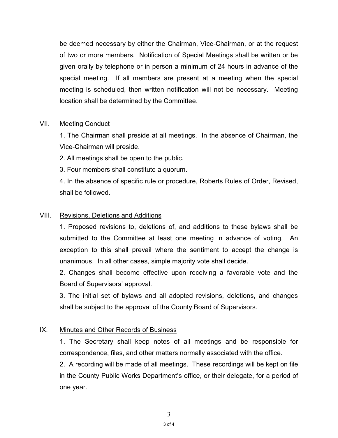be deemed necessary by either the Chairman, Vice-Chairman, or at the request of two or more members. Notification of Special Meetings shall be written or be given orally by telephone or in person a minimum of 24 hours in advance of the special meeting. If all members are present at a meeting when the special meeting is scheduled, then written notification will not be necessary. Meeting location shall be determined by the Committee.

#### VII. Meeting Conduct

 1. The Chairman shall preside at all meetings. In the absence of Chairman, the Vice-Chairman will preside.

2. All meetings shall be open to the public.

3. Four members shall constitute a quorum.

4. In the absence of specific rule or procedure, Roberts Rules of Order, Revised, shall be followed.

### VIII. Revisions, Deletions and Additions

1. Proposed revisions to, deletions of, and additions to these bylaws shall be submitted to the Committee at least one meeting in advance of voting. An exception to this shall prevail where the sentiment to accept the change is unanimous. In all other cases, simple majority vote shall decide.

 2. Changes shall become effective upon receiving a favorable vote and the Board of Supervisors' approval.

 3. The initial set of bylaws and all adopted revisions, deletions, and changes shall be subject to the approval of the County Board of Supervisors.

## IX. Minutes and Other Records of Business

 1. The Secretary shall keep notes of all meetings and be responsible for correspondence, files, and other matters normally associated with the office.

2. A recording will be made of all meetings. These recordings will be kept on file in the County Public Works Department's office, or their delegate, for a period of one year.